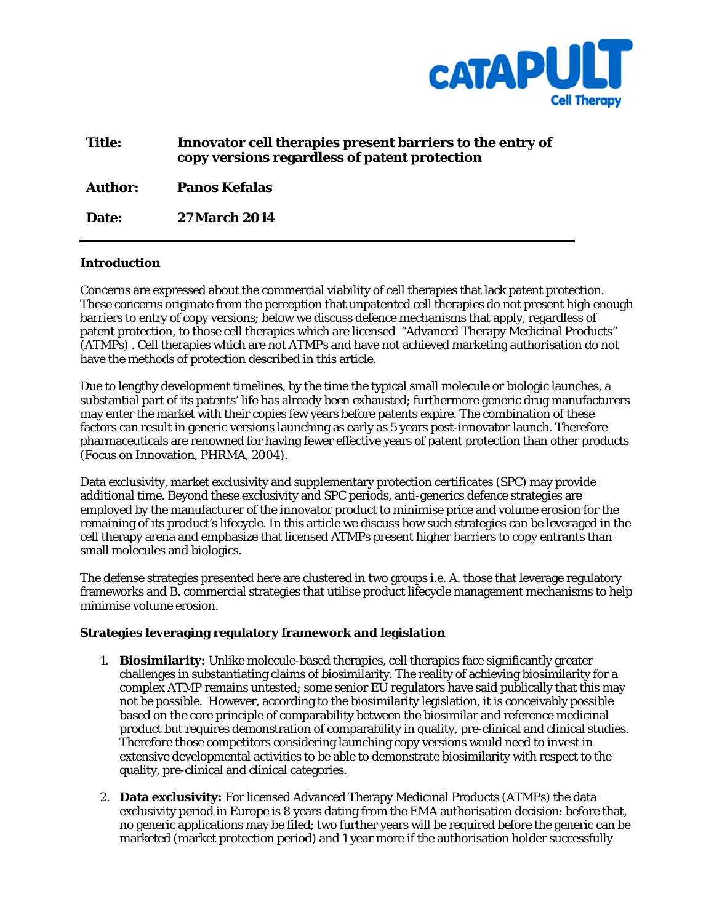

| <b>Title:</b> | Innovator cell therapies present barriers to the entry of |
|---------------|-----------------------------------------------------------|
|               | copy versions regardless of patent protection             |

**Author: Panos Kefalas** 

**Date: 27 March 2014** 

#### **Introduction**

Concerns are expressed about the commercial viability of cell therapies that lack patent protection. These concerns originate from the perception that unpatented cell therapies do not present high enough barriers to entry of copy versions; below we discuss defence mechanisms that apply, regardless of patent protection, to those cell therapies which are licensed "Advanced Therapy Medicinal Products" (ATMPs) . Cell therapies which are not ATMPs and have not achieved marketing authorisation do not have the methods of protection described in this article.

Due to lengthy development timelines, by the time the typical small molecule or biologic launches, a substantial part of its patents' life has already been exhausted; furthermore generic drug manufacturers may enter the market with their copies few years before patents expire. The combination of these factors can result in generic versions launching as early as 5 years post-innovator launch. Therefore pharmaceuticals are renowned for having fewer effective years of patent protection than other products (Focus on Innovation, PHRMA, 2004).

Data exclusivity, market exclusivity and supplementary protection certificates (SPC) may provide additional time. Beyond these exclusivity and SPC periods, anti-generics defence strategies are employed by the manufacturer of the innovator product to minimise price and volume erosion for the remaining of its product's lifecycle. In this article we discuss how such strategies can be leveraged in the cell therapy arena and emphasize that licensed ATMPs present higher barriers to copy entrants than small molecules and biologics.

The defense strategies presented here are clustered in two groups i.e. A. those that leverage regulatory frameworks and B. commercial strategies that utilise product lifecycle management mechanisms to help minimise volume erosion.

#### **Strategies leveraging regulatory framework and legislation**

- 1. **Biosimilarity:** Unlike molecule-based therapies, cell therapies face significantly greater challenges in substantiating claims of biosimilarity. The reality of achieving biosimilarity for a complex ATMP remains untested; some senior EU regulators have said publically that this may not be possible. However, according to the biosimilarity legislation, it is conceivably possible based on the core principle of comparability between the biosimilar and reference medicinal product but requires demonstration of comparability in quality, pre-clinical and clinical studies. Therefore those competitors considering launching copy versions would need to invest in extensive developmental activities to be able to demonstrate biosimilarity with respect to the quality, pre-clinical and clinical categories.
- 2. **Data exclusivity:** For licensed Advanced Therapy Medicinal Products (ATMPs) the data exclusivity period in Europe is 8 years dating from the EMA authorisation decision: before that, no generic applications may be filed; two further years will be required before the generic can be marketed (market protection period) and 1 year more if the authorisation holder successfully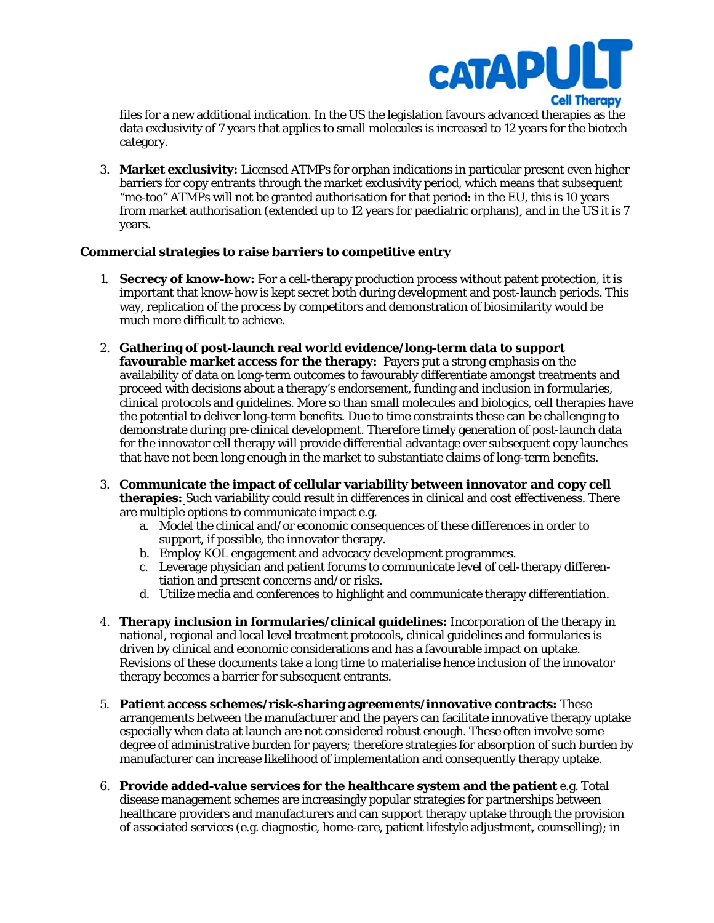

files for a new additional indication. In the US the legislation favours advanced therapies as the data exclusivity of 7 years that applies to small molecules is increased to 12 years for the biotech category.

3. **Market exclusivity:** Licensed ATMPs for orphan indications in particular present even higher barriers for copy entrants through the market exclusivity period, which means that subsequent "me-too" ATMPs will not be granted authorisation for that period: in the EU, this is 10 years from market authorisation (extended up to 12 years for paediatric orphans), and in the US it is 7 years.

## **Commercial strategies to raise barriers to competitive entry**

- 1. **Secrecy of know-how:** For a cell-therapy production process without patent protection, it is important that know-how is kept secret both during development and post-launch periods. This way, replication of the process by competitors and demonstration of biosimilarity would be much more difficult to achieve.
- 2. **Gathering of post-launch real world evidence/long-term data to support favourable market access for the therapy:** Payers put a strong emphasis on the availability of data on long-term outcomes to favourably differentiate amongst treatments and proceed with decisions about a therapy's endorsement, funding and inclusion in formularies, clinical protocols and guidelines. More so than small molecules and biologics, cell therapies have the potential to deliver long-term benefits. Due to time constraints these can be challenging to demonstrate during pre-clinical development. Therefore timely generation of post-launch data for the innovator cell therapy will provide differential advantage over subsequent copy launches that have not been long enough in the market to substantiate claims of long-term benefits.
- 3. **Communicate the impact of cellular variability between innovator and copy cell therapies:** Such variability could result in differences in clinical and cost effectiveness. There are multiple options to communicate impact e.g.
	- a. Model the clinical and/or economic consequences of these differences in order to support, if possible, the innovator therapy.
	- b. Employ KOL engagement and advocacy development programmes.
	- c. Leverage physician and patient forums to communicate level of cell-therapy differentiation and present concerns and/or risks.
	- d. Utilize media and conferences to highlight and communicate therapy differentiation.
- 4. **Therapy inclusion in formularies/clinical guidelines:** Incorporation of the therapy in national, regional and local level treatment protocols, clinical guidelines and formularies is driven by clinical and economic considerations and has a favourable impact on uptake. Revisions of these documents take a long time to materialise hence inclusion of the innovator therapy becomes a barrier for subsequent entrants.
- 5. **Patient access schemes/risk-sharing agreements/innovative contracts:** These arrangements between the manufacturer and the payers can facilitate innovative therapy uptake especially when data at launch are not considered robust enough. These often involve some degree of administrative burden for payers; therefore strategies for absorption of such burden by manufacturer can increase likelihood of implementation and consequently therapy uptake.
- 6. **Provide added-value services for the healthcare system and the patient** e.g. Total disease management schemes are increasingly popular strategies for partnerships between healthcare providers and manufacturers and can support therapy uptake through the provision of associated services (e.g. diagnostic, home-care, patient lifestyle adjustment, counselling); in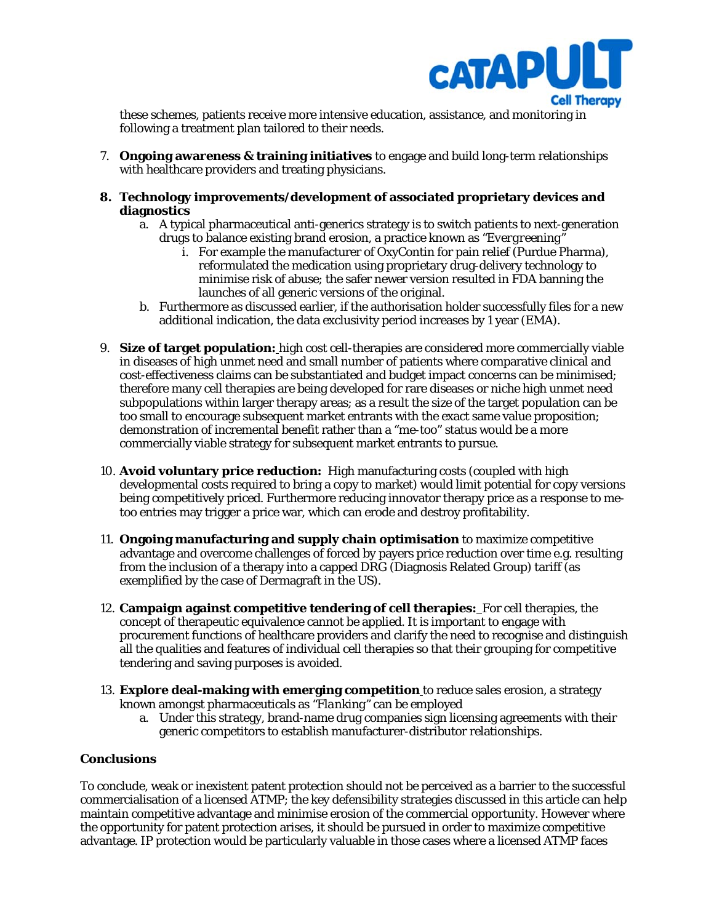

these schemes, patients receive more intensive education, assistance, and monitoring in following a treatment plan tailored to their needs.

- 7. **Ongoing awareness & training initiatives** to engage and build long-term relationships with healthcare providers and treating physicians.
- **8. Technology improvements/development of associated proprietary devices and diagnostics** 
	- a. A typical pharmaceutical anti-generics strategy is to switch patients to next-generation drugs to balance existing brand erosion, a practice known as *"Evergreening"*
		- i. For example the manufacturer of OxyContin for pain relief (Purdue Pharma), reformulated the medication using proprietary drug-delivery technology to minimise risk of abuse; the safer newer version resulted in FDA banning the launches of all generic versions of the original.
	- b. Furthermore as discussed earlier, if the authorisation holder successfully files for a new additional indication, the data exclusivity period increases by 1 year (EMA).
- 9. **Size of target population:** high cost cell-therapies are considered more commercially viable in diseases of high unmet need and small number of patients where comparative clinical and cost-effectiveness claims can be substantiated and budget impact concerns can be minimised; therefore many cell therapies are being developed for rare diseases or niche high unmet need subpopulations within larger therapy areas; as a result the size of the target population can be too small to encourage subsequent market entrants with the exact same value proposition; demonstration of incremental benefit rather than a "me-too" status would be a more commercially viable strategy for subsequent market entrants to pursue.
- 10. **Avoid voluntary price reduction:** High manufacturing costs (coupled with high developmental costs required to bring a copy to market) would limit potential for copy versions being competitively priced. Furthermore reducing innovator therapy price as a response to metoo entries may trigger a price war, which can erode and destroy profitability.
- 11. **Ongoing manufacturing and supply chain optimisation** to maximize competitive advantage and overcome challenges of forced by payers price reduction over time e.g. resulting from the inclusion of a therapy into a capped DRG (Diagnosis Related Group) tariff (as exemplified by the case of Dermagraft in the US).
- 12. **Campaign against competitive tendering of cell therapies:** For cell therapies, the concept of therapeutic equivalence cannot be applied. It is important to engage with procurement functions of healthcare providers and clarify the need to recognise and distinguish all the qualities and features of individual cell therapies so that their grouping for competitive tendering and saving purposes is avoided.
- 13. **Explore deal-making with emerging competition** to reduce sales erosion, a strategy known amongst pharmaceuticals as *"Flanking"* can be employed
	- a. Under this strategy, brand-name drug companies sign licensing agreements with their generic competitors to establish manufacturer-distributor relationships.

## **Conclusions**

To conclude, weak or inexistent patent protection should not be perceived as a barrier to the successful commercialisation of a licensed ATMP; the key defensibility strategies discussed in this article can help maintain competitive advantage and minimise erosion of the commercial opportunity. However where the opportunity for patent protection arises, it should be pursued in order to maximize competitive advantage. IP protection would be particularly valuable in those cases where a licensed ATMP faces